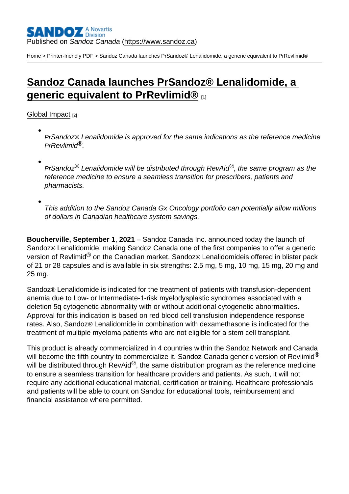[Home](https://www.sandoz.ca/en) > [Printer-friendly PDF](https://www.sandoz.ca/en/printpdf) > Sandoz Canada launches PrSandoz® Lenalidomide, a generic equivalent to PrRevlimid®

## [Sandoz Canada launches PrSandoz® Lenalidomide, a](https://www.sandoz.ca/en/stories/global-impact/sandoz-canada-launches-sandoz-lenalidomide-generic-equivalent-revlimid)  [generic equivalent to PrRevlimid®](https://www.sandoz.ca/en/stories/global-impact/sandoz-canada-launches-sandoz-lenalidomide-generic-equivalent-revlimid) [1]

[Global Impact](https://www.sandoz.ca/en/stories/global-impact) [2]

PrSandoz® Lenalidomide is approved for the same indications as the reference medicine PrRevlimid®.

PrSandoz® Lenalidomide will be distributed through RevAid®, the same program as the reference medicine to ensure a seamless transition for prescribers, patients and pharmacists.

This addition to the Sandoz Canada Gx Oncology portfolio can potentially allow millions of dollars in Canadian healthcare system savings.

Boucherville, September 1 , 2021 – Sandoz Canada Inc. announced today the launch of Sandoz® Lenalidomide, making Sandoz Canada one of the first companies to offer a generic version of Revlimid<sup>®</sup> on the Canadian market. Sandoz® Lenalidomideis offered in blister pack of 21 or 28 capsules and is available in six strengths: 2.5 mg, 5 mg, 10 mg, 15 mg, 20 mg and 25 mg.

Sandoz® Lenalidomide is indicated for the treatment of patients with transfusion-dependent anemia due to Low- or Intermediate-1-risk myelodysplastic syndromes associated with a deletion 5q cytogenetic abnormality with or without additional cytogenetic abnormalities. Approval for this indication is based on red blood cell transfusion independence response rates. Also, Sandoz® Lenalidomide in combination with dexamethasone is indicated for the treatment of multiple myeloma patients who are not eligible for a stem cell transplant.

This product is already commercialized in 4 countries within the Sandoz Network and Canada will become the fifth country to commercialize it. Sandoz Canada generic version of Revlimid<sup>®</sup> will be distributed through RevAid<sup>®</sup>, the same distribution program as the reference medicine to ensure a seamless transition for healthcare providers and patients. As such, it will not require any additional educational material, certification or training. Healthcare professionals and patients will be able to count on Sandoz for educational tools, reimbursement and financial assistance where permitted.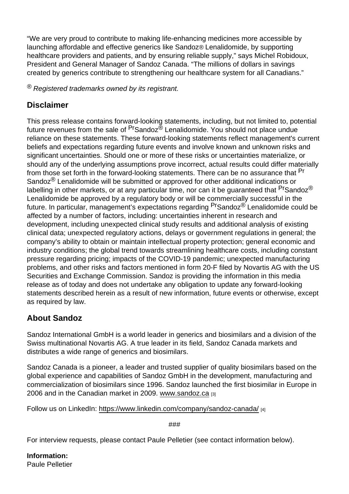"We are very proud to contribute to making life-enhancing medicines more accessible by launching affordable and effective generics like Sandoz® Lenalidomide, by supporting healthcare providers and patients, and by ensuring reliable supply," says Michel Robidoux, President and General Manager of Sandoz Canada. "The millions of dollars in savings created by generics contribute to strengthening our healthcare system for all Canadians."

 $\mathcal{R}$  Registered trademarks owned by its registrant.

## **Disclaimer**

This press release contains forward-looking statements, including, but not limited to, potential future revenues from the sale of <sup>Pr</sup>Sandoz<sup>®</sup> Lenalidomide. You should not place undue reliance on these statements. These forward-looking statements reflect management's current beliefs and expectations regarding future events and involve known and unknown risks and significant uncertainties. Should one or more of these risks or uncertainties materialize, or should any of the underlying assumptions prove incorrect, actual results could differ materially from those set forth in the forward-looking statements. There can be no assurance that <sup>Pr</sup> Sandoz<sup>®</sup> Lenalidomide will be submitted or approved for other additional indications or labelling in other markets, or at any particular time, nor can it be quaranteed that <sup>Pr</sup>Sandoz<sup>®</sup> Lenalidomide be approved by a regulatory body or will be commercially successful in the future. In particular, management's expectations regarding <sup>Pr</sup>Sandoz<sup>®</sup> Lenalidomide could be affected by a number of factors, including: uncertainties inherent in research and development, including unexpected clinical study results and additional analysis of existing clinical data; unexpected regulatory actions, delays or government regulations in general; the company's ability to obtain or maintain intellectual property protection; general economic and industry conditions; the global trend towards streamlining healthcare costs, including constant pressure regarding pricing; impacts of the COVID-19 pandemic; unexpected manufacturing problems, and other risks and factors mentioned in form 20-F filed by Novartis AG with the US Securities and Exchange Commission. Sandoz is providing the information in this media release as of today and does not undertake any obligation to update any forward-looking statements described herein as a result of new information, future events or otherwise, except as required by law.

## About Sandoz

Sandoz International GmbH is a world leader in generics and biosimilars and a division of the Swiss multinational Novartis AG. A true leader in its field, Sandoz Canada markets and distributes a wide range of generics and biosimilars.

Sandoz Canada is a pioneer, a leader and trusted supplier of quality biosimilars based on the global experience and capabilities of Sandoz GmbH in the development, manufacturing and commercialization of biosimilars since 1996. Sandoz launched the first biosimilar in Europe in 2006 and in the Canadian market in 2009. [www.sandoz.ca](https:///C:/Users/patton/AppData/Local/Microsoft/Windows/INetCache/Content.Outlook/IJE30NLJ/www.sandoz.ca) [3]

Follow us on LinkedIn[:](https://www.linkedin.com/company/sandoz-canada/) https://www.linkedin.com/company/sandoz-canada/ [4]

###

For interview requests, please contact Paule Pelletier (see contact information below).

Information: Paule Pelletier